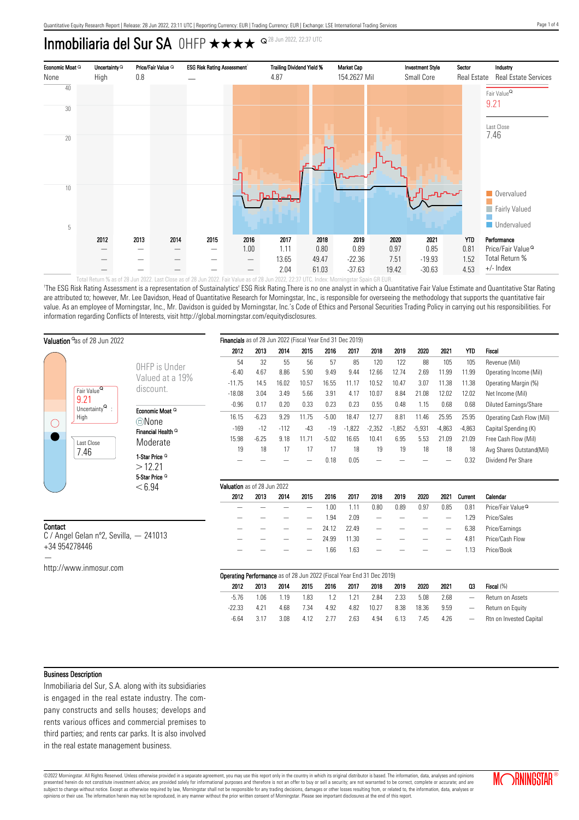# Inmobiliaria del Sur SA OHFP  $\star\star\star\star$ <sup>Q28 Jun 2022, 22:37 UTC</sup>



'The ESG Risk Rating Assessment is a representation of Sustainalytics' ESG Risk Rating.There is no one analyst in which a Quantitative Fair Value Estimate and Quantitative Star Rating are attributed to; however, Mr. Lee Davidson, Head of Quantitative Research for Morningstar, Inc., is responsible for overseeing the methodology that supports the quantitative fair value. As an employee of Morningstar, Inc., Mr. Davidson is guided by Morningstar, Inc.'s Code of Ethics and Personal Securities Trading Policy in carrying out his responsibilities. For information regarding Conflicts of Interests, visit http://global.morningstar.com/equitydisclosures.

| Valuation <sup>o</sup> as of 28 Jun 2022 |                                                                                             |                                            | Financials as of 28 Jun 2022 (Fiscal Year End 31 Dec 2019)                   |         |        |                          |         |          |                          |          |          |                          |                   |                               |
|------------------------------------------|---------------------------------------------------------------------------------------------|--------------------------------------------|------------------------------------------------------------------------------|---------|--------|--------------------------|---------|----------|--------------------------|----------|----------|--------------------------|-------------------|-------------------------------|
|                                          |                                                                                             |                                            | 2012                                                                         | 2013    | 2014   | 2015                     | 2016    | 2017     | 2018                     | 2019     | 2020     | 2021                     | <b>YTD</b>        | Fiscal                        |
|                                          |                                                                                             | OHFP is Under                              | 54                                                                           | 32      | 55     | 56                       | 57      | 85       | 120                      | 122      | 88       | 105                      | 105               | Revenue (Mil)                 |
|                                          | Fair Value <sup>Q</sup><br>9.21<br>Uncertainty $\mathsf{Q}$ :<br>High<br>Last Close<br>7.46 | Valued at a 19%                            | $-6.40$                                                                      | 4.67    | 8.86   | 5.90                     | 9.49    | 9.44     | 12.66                    | 12.74    | 2.69     | 11.99                    | 11.99             | Operating Income (Mil)        |
|                                          |                                                                                             | discount.                                  | $-11.75$                                                                     | 14.5    | 16.02  | 10.57                    | 16.55   | 11.17    | 10.52                    | 10.47    | 3.07     | 11.38                    | 11.38             | Operating Margin (%)          |
|                                          |                                                                                             |                                            | $-18.08$                                                                     | 3.04    | 3.49   | 5.66                     | 3.91    | 4.17     | 10.07                    | 8.84     | 21.08    | 12.02                    | 12.02             | Net Income (Mil)              |
|                                          |                                                                                             |                                            | $-0.96$                                                                      | 0.17    | 0.20   | 0.33                     | 0.23    | 0.23     | 0.55                     | 0.48     | 1.15     | 0.68                     | 0.68              | Diluted Earnings/Share        |
| O                                        |                                                                                             | Economic Moat <sup>Q</sup><br><b>©None</b> | 16.15                                                                        | $-6.23$ | 9.29   | 11.75                    | $-5.00$ | 18.47    | 12.77                    | 8.81     | 11.46    | 25.95                    | 25.95             | Operating Cash Flow (Mil)     |
|                                          |                                                                                             | Financial Health <sup>Q</sup>              | $-169$                                                                       | $-12$   | $-112$ | $-43$                    | $-19$   | $-1,822$ | $-2,352$                 | $-1,852$ | $-5,931$ | $-4,863$                 | $-4,863$          | Capital Spending (K)          |
|                                          |                                                                                             | Moderate                                   | 15.98                                                                        | $-6.25$ | 9.18   | 11.71                    | $-5.02$ | 16.65    | 10.41                    | 6.95     | 5.53     | 21.09                    | 21.09             | Free Cash Flow (Mil)          |
|                                          |                                                                                             |                                            | 19                                                                           | 18      | 17     | 17                       | 17      | 18       | 19                       | 19       | 18       | 18                       | 18                | Avg Shares Outstand(Mil)      |
|                                          |                                                                                             | 1-Star Price <sup>Q</sup>                  |                                                                              |         |        |                          | 0.18    | 0.05     |                          |          |          |                          | 0.32              | Dividend Per Share            |
|                                          |                                                                                             | >12.21<br>5-Star Price <sup>Q</sup>        |                                                                              |         |        |                          |         |          |                          |          |          |                          |                   |                               |
|                                          |                                                                                             |                                            | Valuation as of 28 Jun 2022                                                  |         |        |                          |         |          |                          |          |          |                          |                   |                               |
|                                          |                                                                                             |                                            |                                                                              |         |        |                          |         |          |                          |          |          |                          |                   |                               |
|                                          |                                                                                             | < 6.94                                     | 2012                                                                         | 2013    | 2014   | 2015                     | 2016    | 2017     | 2018                     | 2019     | 2020     | 2021                     | Current           | Calendar                      |
|                                          |                                                                                             |                                            |                                                                              |         |        | $\overline{\phantom{m}}$ | 1.00    | 1.11     | 0.80                     | 0.89     | 0.97     | 0.85                     | 0.81              | Price/Fair Value <sup>Q</sup> |
|                                          |                                                                                             |                                            |                                                                              |         |        |                          | 1.94    | 2.09     | $\qquad \qquad -$        |          |          | $\overline{\phantom{m}}$ | 1.29              | Price/Sales                   |
|                                          |                                                                                             |                                            |                                                                              |         |        |                          | 24.12   | 22.49    | $\qquad \qquad -$        |          |          | —                        | 6.38              | Price/Earnings                |
| Contact                                  | C / Angel Gelan nº2, Sevilla, $-$ 241013                                                    |                                            |                                                                              |         |        |                          | 24.99   | 11.30    | $\overline{\phantom{m}}$ |          |          | -                        | 4.81              | Price/Cash Flow               |
|                                          | +34 954278446                                                                               |                                            |                                                                              |         |        |                          | 1.66    | 1.63     |                          |          |          |                          | 1.13              | Price/Book                    |
|                                          |                                                                                             |                                            |                                                                              |         |        |                          |         |          |                          |          |          |                          |                   |                               |
|                                          | http://www.inmosur.com                                                                      |                                            | <b>Operating Performance</b> as of 28 Jun 2022 (Fiscal Year End 31 Dec 2019) |         |        |                          |         |          |                          |          |          |                          |                   |                               |
|                                          |                                                                                             |                                            | 2012                                                                         | 2013    | 2014   | 2015                     | 2016    | 2017     | 2018                     | 2019     | 2020     | 2021                     | 03                | Fiscal (%)                    |
|                                          |                                                                                             |                                            | $-5.76$                                                                      | 1.06    | 1.19   | 1.83                     | 1.2     | 1.21     | 2.84                     | 2.33     | 5.08     | 2.68                     | $\qquad \qquad -$ | Return on Assets              |
|                                          |                                                                                             |                                            | $-22.33$                                                                     | 4.21    | 4.68   | 7.34                     | 4.92    | 4.82     | 10.27                    | 8.38     | 18.36    | 9.59                     | $\qquad \qquad -$ | Return on Equity              |

#### Business Description

Inmobiliaria del Sur, S.A. along with its subsidiaries is engaged in the real estate industry. The company constructs and sells houses; develops and rents various offices and commercial premises to third parties; and rents car parks. It is also involved in the real estate management business.

©2022 Morningstar. All Rights Reserved. Unless otherwise provided in a separate agreement, you may use this report only in the country in which its original distributor is based. The information, data, analyses and opinions presented herein do not constitute investment advice; are provided solely for informational purposes and therefore is not an offer to buy or sell a security; are not warranted to be correct, complete or accurate; and are subject to change without notice. Except as otherwise required by law, Morningstar shall not be responsible for any trading decisions, damages or other losses resulting from, or related to, the information, data, analyses

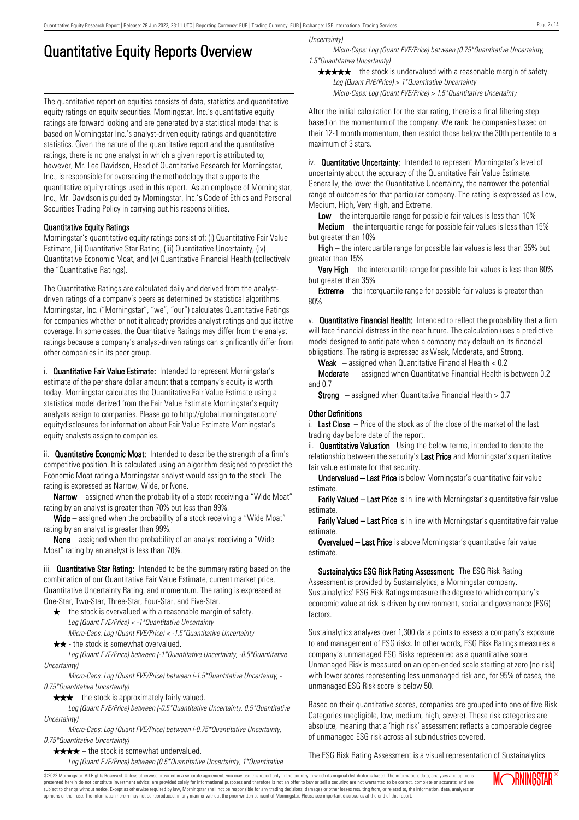# Quantitative Equity Reports Overview

The quantitative report on equities consists of data, statistics and quantitative equity ratings on equity securities. Morningstar, Inc.'s quantitative equity ratings are forward looking and are generated by a statistical model that is based on Morningstar Inc.'s analyst-driven equity ratings and quantitative statistics. Given the nature of the quantitative report and the quantitative ratings, there is no one analyst in which a given report is attributed to; however, Mr. Lee Davidson, Head of Quantitative Research for Morningstar, Inc., is responsible for overseeing the methodology that supports the quantitative equity ratings used in this report. As an employee of Morningstar, Inc., Mr. Davidson is guided by Morningstar, Inc.'s Code of Ethics and Personal Securities Trading Policy in carrying out his responsibilities.

### Quantitative Equity Ratings

Morningstar's quantitative equity ratings consist of: (i) Quantitative Fair Value Estimate, (ii) Quantitative Star Rating, (iii) Quantitative Uncertainty, (iv) Quantitative Economic Moat, and (v) Quantitative Financial Health (collectively the "Quantitative Ratings).

The Quantitative Ratings are calculated daily and derived from the analystdriven ratings of a company's peers as determined by statistical algorithms. Morningstar, Inc. ("Morningstar", "we", "our") calculates Quantitative Ratings for companies whether or not it already provides analyst ratings and qualitative coverage. In some cases, the Quantitative Ratings may differ from the analyst ratings because a company's analyst-driven ratings can significantly differ from other companies in its peer group.

i. **Quantitative Fair Value Estimate:** Intended to represent Morningstar's estimate of the per share dollar amount that a company's equity is worth today. Morningstar calculates the Quantitative Fair Value Estimate using a statistical model derived from the Fair Value Estimate Morningstar's equity analysts assign to companies. Please go to http://global.morningstar.com/ equitydisclosures for information about Fair Value Estimate Morningstar's equity analysts assign to companies.

ii. **Quantitative Economic Moat:** Intended to describe the strength of a firm's competitive position. It is calculated using an algorithm designed to predict the Economic Moat rating a Morningstar analyst would assign to the stock. The rating is expressed as Narrow, Wide, or None.

**Narrow** – assigned when the probability of a stock receiving a "Wide Moat" rating by an analyst is greater than 70% but less than 99%.

Wide – assigned when the probability of a stock receiving a "Wide Moat" rating by an analyst is greater than 99%.

None – assigned when the probability of an analyst receiving a "Wide Moat" rating by an analyst is less than 70%.

iii. **Quantitative Star Rating:** Intended to be the summary rating based on the combination of our Quantitative Fair Value Estimate, current market price, Quantitative Uncertainty Rating, and momentum. The rating is expressed as One-Star, Two-Star, Three-Star, Four-Star, and Five-Star.

- $\star$  the stock is overvalued with a reasonable margin of safety. Log (Quant FVE/Price) < -1\*Quantitative Uncertainty
- Micro-Caps: Log (Quant FVE/Price) < -1.5\*Quantitative Uncertainty  $\star \star$  - the stock is somewhat overvalued.

Log (Quant FVE/Price) between (-1\*Quantitative Uncertainty, -0.5\*Quantitative Uncertainty)

Micro-Caps: Log (Quant FVE/Price) between (-1.5\*Quantitative Uncertainty, - 0.75\*Quantitative Uncertainty)

 $\star \star \star$  – the stock is approximately fairly valued.

Log (Quant FVE/Price) between (-0.5\*Quantitative Uncertainty, 0.5\*Quantitative Uncertainty)

Micro-Caps: Log (Quant FVE/Price) between (-0.75\*Quantitative Uncertainty, 0.75\*Quantitative Uncertainty)

 $\star \star \star \star$  – the stock is somewhat undervalued.

Log (Quant FVE/Price) between (0.5\*Quantitative Uncertainty, 1\*Quantitative

Uncertainty)

Micro-Caps: Log (Quant FVE/Price) between (0.75\*Quantitative Uncertainty, 1.5\*Quantitative Uncertainty)

 $\star \star \star \star$  – the stock is undervalued with a reasonable margin of safety. Log (Quant FVE/Price) > 1\*Quantitative Uncertainty

Micro-Caps: Log (Quant FVE/Price) > 1.5\*Quantitative Uncertainty

After the initial calculation for the star rating, there is a final filtering step based on the momentum of the company. We rank the companies based on their 12-1 month momentum, then restrict those below the 30th percentile to a maximum of 3 stars.

iv. **Quantitative Uncertainty:** Intended to represent Morningstar's level of uncertainty about the accuracy of the Quantitative Fair Value Estimate. Generally, the lower the Quantitative Uncertainty, the narrower the potential range of outcomes for that particular company. The rating is expressed as Low, Medium, High, Very High, and Extreme.

**Low** – the interguartile range for possible fair values is less than  $10\%$ 

**Medium** – the interquartile range for possible fair values is less than  $15\%$ but greater than 10%

High – the interquartile range for possible fair values is less than 35% but greater than 15%

Very High – the interquartile range for possible fair values is less than 80% but greater than 35%

**Extreme** – the interquartile range for possible fair values is greater than 80%

v. Quantitative Financial Health: Intended to reflect the probability that a firm will face financial distress in the near future. The calculation uses a predictive model designed to anticipate when a company may default on its financial obligations. The rating is expressed as Weak, Moderate, and Strong.

**Weak**  $-$  assigned when Quantitative Financial Health  $< 0.2$ 

Moderate – assigned when Quantitative Financial Health is between 0.2 and 0.7

**Strong** – assigned when Quantitative Financial Health  $> 0.7$ 

#### Other Definitions

i. Last Close  $-$  Price of the stock as of the close of the market of the last trading day before date of the report.

ii. **Quantitative Valuation**– Using the below terms, intended to denote the relationship between the security's Last Price and Morningstar's quantitative fair value estimate for that security.

Undervalued – Last Price is below Morningstar's quantitative fair value estimate.

Farily Valued – Last Price is in line with Morningstar's quantitative fair value estimate.

Farily Valued – Last Price is in line with Morningstar's quantitative fair value estimate.

Overvalued – Last Price is above Morningstar's quantitative fair value estimate.

Sustainalytics ESG Risk Rating Assessment: The ESG Risk Rating Assessment is provided by Sustainalytics; a Morningstar company. Sustainalytics' ESG Risk Ratings measure the degree to which company's economic value at risk is driven by environment, social and governance (ESG) factors.

Sustainalytics analyzes over 1,300 data points to assess a company's exposure to and management of ESG risks. In other words, ESG Risk Ratings measures a company's unmanaged ESG Risks represented as a quantitative score. Unmanaged Risk is measured on an open-ended scale starting at zero (no risk) with lower scores representing less unmanaged risk and, for 95% of cases, the unmanaged ESG Risk score is below 50.

Based on their quantitative scores, companies are grouped into one of five Risk Categories (negligible, low, medium, high, severe). These risk categories are absolute, meaning that a 'high risk' assessment reflects a comparable degree of unmanaged ESG risk across all subindustries covered.

The ESG Risk Rating Assessment is a visual representation of Sustainalytics

©2022 Morningstar. All Rights Reserved. Unless otherwise provided in a separate agreement, you may use this report only in the country in which its original distributor is based. The information, data, analyses and opinions presented herein do not constitute investment advice; are provided solely for informational purposes and therefore is not an offer to buy or sell a security; are not warranted to be correct, complete or accurate; and are subject to change without notice. Except as otherwise required by law, Morningstar shall not be responsible for any trading decisions, damages or other losses resulting from, or related to, the information, data, analyses or opinions or their use. The information herein may not be reproduced, in any manner without the prior written consent of Morningstar. Please see important disclosures at the end of this report.

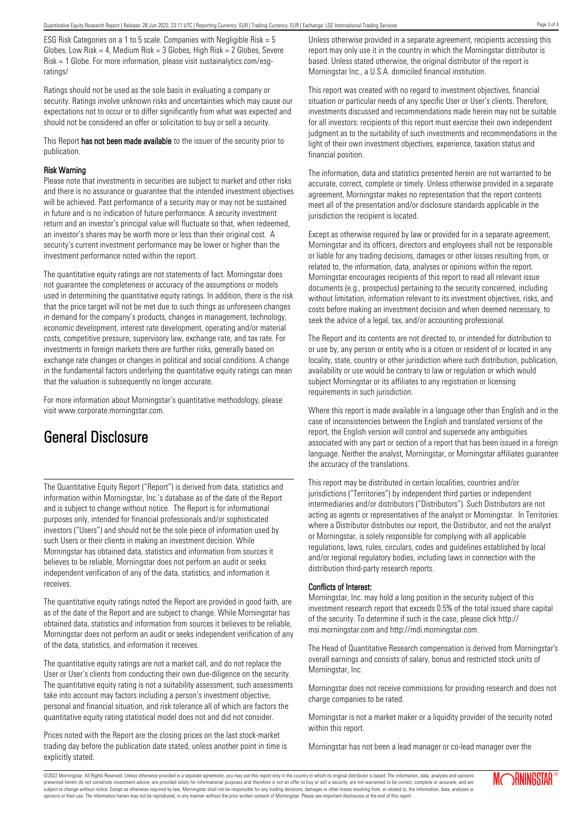ESG Risk Categories on a 1 to 5 scale. Companies with Negligible Risk = 5 Globes, Low Risk = 4, Medium Risk =  $3$  Globes, High Risk =  $2$  Globes, Severe Risk = 1 Globe. For more information, please visit sustainalytics.com/esgratings/

Ratings should not be used as the sole basis in evaluating a company or security. Ratings involve unknown risks and uncertainties which may cause our expectations not to occur or to differ significantly from what was expected and should not be considered an offer or solicitation to buy or sell a security.

This Report has not been made available to the issuer of the security prior to publication.

#### Risk Warning

Please note that investments in securities are subject to market and other risks and there is no assurance or guarantee that the intended investment objectives will be achieved. Past performance of a security may or may not be sustained in future and is no indication of future performance. A security investment return and an investor's principal value will fluctuate so that, when redeemed, an investor's shares may be worth more or less than their original cost. A security's current investment performance may be lower or higher than the investment performance noted within the report.

The quantitative equity ratings are not statements of fact. Morningstar does not guarantee the completeness or accuracy of the assumptions or models used in determining the quantitative equity ratings. In addition, there is the risk that the price target will not be met due to such things as unforeseen changes in demand for the company's products, changes in management, technology, economic development, interest rate development, operating and/or material costs, competitive pressure, supervisory law, exchange rate, and tax rate. For investments in foreign markets there are further risks, generally based on exchange rate changes or changes in political and social conditions. A change in the fundamental factors underlying the quantitative equity ratings can mean that the valuation is subsequently no longer accurate.

For more information about Morningstar's quantitative methodology, please visit www.corporate.morningstar.com.

## General Disclosure

The Quantitative Equity Report ("Report") is derived from data, statistics and information within Morningstar, Inc.'s database as of the date of the Report and is subject to change without notice. The Report is for informational purposes only, intended for financial professionals and/or sophisticated investors ("Users") and should not be the sole piece of information used by such Users or their clients in making an investment decision. While Morningstar has obtained data, statistics and information from sources it believes to be reliable, Morningstar does not perform an audit or seeks independent verification of any of the data, statistics, and information it receives.

The quantitative equity ratings noted the Report are provided in good faith, are as of the date of the Report and are subject to change. While Morningstar has obtained data, statistics and information from sources it believes to be reliable, Morningstar does not perform an audit or seeks independent verification of any of the data, statistics, and information it receives.

The quantitative equity ratings are not a market call, and do not replace the User or User's clients from conducting their own due-diligence on the security. The quantitative equity rating is not a suitability assessment; such assessments take into account may factors including a person's investment objective, personal and financial situation, and risk tolerance all of which are factors the quantitative equity rating statistical model does not and did not consider.

Prices noted with the Report are the closing prices on the last stock-market trading day before the publication date stated, unless another point in time is explicitly stated.

Unless otherwise provided in a separate agreement, recipients accessing this report may only use it in the country in which the Morningstar distributor is based. Unless stated otherwise, the original distributor of the report is Morningstar Inc., a U.S.A. domiciled financial institution.

This report was created with no regard to investment objectives, financial situation or particular needs of any specific User or User's clients. Therefore, investments discussed and recommendations made herein may not be suitable for all investors: recipients of this report must exercise their own independent judgment as to the suitability of such investments and recommendations in the light of their own investment objectives, experience, taxation status and financial position.

The information, data and statistics presented herein are not warranted to be accurate, correct, complete or timely. Unless otherwise provided in a separate agreement, Morningstar makes no representation that the report contents meet all of the presentation and/or disclosure standards applicable in the jurisdiction the recipient is located.

Except as otherwise required by law or provided for in a separate agreement, Morningstar and its officers, directors and employees shall not be responsible or liable for any trading decisions, damages or other losses resulting from, or related to, the information, data, analyses or opinions within the report. Morningstar encourages recipients of this report to read all relevant issue documents (e.g., prospectus) pertaining to the security concerned, including without limitation, information relevant to its investment objectives, risks, and costs before making an investment decision and when deemed necessary, to seek the advice of a legal, tax, and/or accounting professional.

The Report and its contents are not directed to, or intended for distribution to or use by, any person or entity who is a citizen or resident of or located in any locality, state, country or other jurisdiction where such distribution, publication, availability or use would be contrary to law or regulation or which would subject Morningstar or its affiliates to any registration or licensing requirements in such jurisdiction.

Where this report is made available in a language other than English and in the case of inconsistencies between the English and translated versions of the report, the English version will control and supersede any ambiguities associated with any part or section of a report that has been issued in a foreign language. Neither the analyst, Morningstar, or Morningstar affiliates guarantee the accuracy of the translations.

This report may be distributed in certain localities, countries and/or jurisdictions ("Territories") by independent third parties or independent intermediaries and/or distributors ("Distributors"). Such Distributors are not acting as agents or representatives of the analyst or Morningstar. In Territories where a Distributor distributes our report, the Distributor, and not the analyst or Morningstar, is solely responsible for complying with all applicable regulations, laws, rules, circulars, codes and guidelines established by local and/or regional regulatory bodies, including laws in connection with the distribution third-party research reports.

### Conflicts of Interest:

Morningstar, Inc. may hold a long position in the security subject of this investment research report that exceeds 0.5% of the total issued share capital of the security. To determine if such is the case, please click http:// msi.morningstar.com and http://mdi.morningstar.com.

The Head of Quantitative Research compensation is derived from Morningstar's overall earnings and consists of salary, bonus and restricted stock units of Morningstar, Inc.

Morningstar does not receive commissions for providing research and does not charge companies to be rated.

Morningstar is not a market maker or a liquidity provider of the security noted within this report.

Morningstar has not been a lead manager or co-lead manager over the